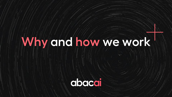### **Why and how we work**

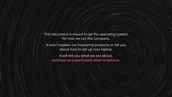This document is meant to be the operating system for how we run the company.

It won't explain our insurance products or tell you about how to set up your laptop.

It will tell you what we are about, **and how we expect each other to behave.**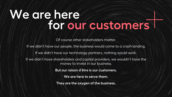### **We are here for our customers**

Of course other stakeholders matter.

If we didn't have our people, the business would come to a crash landing. If we didn't have our technology partners, nothing would work. If we didn't have shareholders and capital providers, we wouldn't have the money to invest in our business. **But our raison d'être is our customers. We are here to serve them. They are the oxygen of the business.**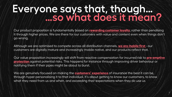### **Everyone says that, though… …so what does it mean?**

Our product proposition is fundamentally based on **rewarding customer loyalty**, rather than penalising it through higher prices. We are there for our customers with value and content even when things don't go wrong.

Although we are optimised to compete across all distribution channels, **we are mobile first** - our customers are digitally mature and increasingly mobile native, and our products reflect that.

Our value proposition increasingly will shift from reactive compensation for incurred risk to **pre-emptive protection** against potential risks. This happens for instance through improving driver behaviour or notifying them if their pipes might be about to burst.

*3*

We are genuinely focused on making the **customers' experience** of insurance the best it can be, through hyper-personalising it to that individual. It's about getting to know our customers, to know what they need from us and when, and exceeding their expectations when they do use us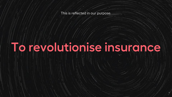This is reflected in our purpose.

### **To revolutionise insurance**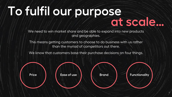# To fulfil our purpose<br>at scale...

We need to win market share and be able to expand into new products and geographies.

This means getting customers to choose to do business with us rather than the myriad of competitors out there.

We know that customers base their purchase decisions on four things.



**Functionality**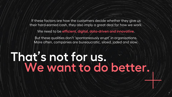If these factors are how the customers decide whether they give us their hard-earned cash, they also imply a great deal for how we work.

We need to be **efficient, digital, data-driven and innovative**.

But these qualities don't 'spontaneously erupt' in organisations. More often, companies are bureaucratic, siloed, jaded and slow.

*6*

### **That's not for us. We want to do better.**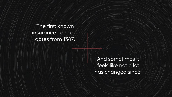The first known insurance contract dates from 1347.

> And sometimes it feels like not a lot has changed since.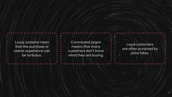Lousy systems mean that the purchase or claims experience can be tortuous.

Convoluted jargon means that many customers don't know what they are buying.

Loyal customers are often punished by price hikes.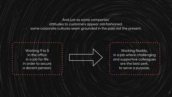And just as some companies' attitudes to customers appear old-fashioned, some corporate cultures seem grounded in the past not the present.

Working 9 to 5 in the office in a job for life in order to secure a decent pension.



Working flexibly, in a job where challenging and supportive colleagues are the best perk, to serve a purpose.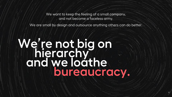We want to keep the feeling of a small company, and not become a faceless army.

We are small by design and outsource anything others can do better.

### **We're not big on hierarchy and we loathe bureaucracy.**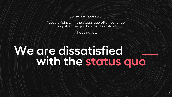Someone once said:

"Love affairs with the status quo often continue long after the quo has lost its status."

That's not us.

### **We are dissatisfied with the status quo**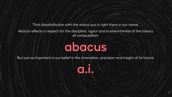That dissatisfaction with the status quo is right there in our name.

Abacai reflects a respect for the discipline, rigour and trustworthiness of the history of computation:

### **abacus**

But just as important is our belief in the innovation, precision and insight of its future:

**a.i.**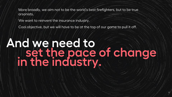More broadly, we aim not to be the world's best firefighters, but to be true arsonists.

We want to reinvent the insurance industry.

Cool objective, but we will have to be at the top of our game to pull it off.

### **And we need to set the pace of change in the industry.**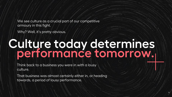We see culture as a crucial part of our competitive armoury in this fight.

Why? Well, it's pretty obvious.

### **Culture today determines performance tomorrow.**

*14*

Think back to a business you were in with a lousy culture.

That business was almost certainly either in, or heading towards, a period of lousy performance.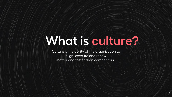### **What is culture?**

*15*

Culture is the ability of the organisation to align, execute and renew better and faster than competitors.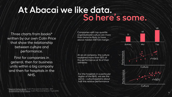### **At Abacai we like data. So here's some.**

Three charts from books\* written by our own Colin Price that show the relationship between culture and performance.

First for companies in general, then for business units within a big company and then for hospitals in the NHS.

Companies with top quartile organisational culture are more than twice as likely to have above median EBITDA margin

At an oil company, the culture explained more than 50% of the performance at 16 of their refineries

For the hospitals in a particular region of the NHS, we see the same – culture explains about half the relative performance



*16*

\* Beyond Performance, Colin Price and Scott Keller, 2011. Accelerating Performance, Colin Price and Sharon Toye, 2016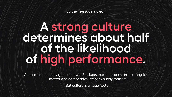So the message is clear:

### **A strong culture determines about half of the likelihood of high performance.**

Culture isn't the only game in town. Products matter, brands matter, regulators matter and competitive intensity surely matters.

But culture is a huge factor.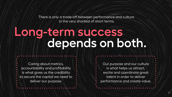There is only a trade-off between performance and culture in the very shortest of short terms.

### **Long-term success depends on both.**

Caring about metrics, accountability and profitability is what gives us the credibility to secure the capital we need to deliver our purpose.

Our purpose and our culture is what helps us attract, excite and coordinate great talent in order to deliver performance and create value.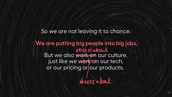#### So we are not leaving it to chance.

### **We are putting big people into big jobs.** But we also work on our culture, just like we work on our tech, or our pricing or our products.

obsess a bout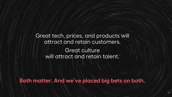Great tech, prices, and products will attract and retain customers. Great culture will attract and retain talent.

**Both matter. And we've placed big bets on both.**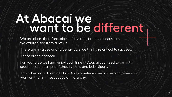### **At Abacai we want to be different**

We are clear, therefore, about our values and the behaviours we want to see from all of us.

There are 4 values and 12 behaviours we think are critical to success.

These aren't optional.

For you to do well and enjoy your time at Abacai you need to be both students and masters of these values and behaviours.

This takes work. From all of us. And sometimes means helping others to work on them – irrespective of hierarchy.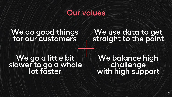### **Our values**

### We do good things<br>for our customers

### **We use data to get straight to the point**

## **We go a little bit slower to go a whole lot faster**

**We balance high challenge with high support**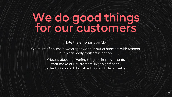Note the emphasis on 'do'.

We must of course always speak about our customers with respect, but what really matters is action.

> Obsess about delivering tangible improvements that make our customers' lives significantly better by doing a lot of little things a little bit better.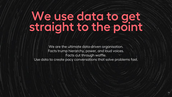### **We use data to get straight to the point**

We are the ultimate data-driven organisation. Facts trump hierarchy, power, and loud voices. Facts cut through waffle. Use data to create pacy conversations that solve problems fast.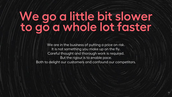### **We go a little bit slower to go a whole lot faster**

We are in the business of putting a price on risk. It is not something you make up on the fly. Careful thought and thorough work is required. But the rigour is to enable pace. Both to delight our customers and confound our competitors.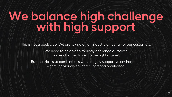This is not a book club. We are taking on an industry on behalf of our customers.

We need to be able to robustly challenge ourselves and each other to get to the right answer.

But the trick is to combine this with a highly supportive environment where individuals never feel personally criticised.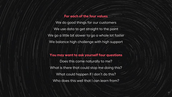#### **For each of the four values**

We do good things for our customers We use data to get straight to the point We go a little bit slower to go a whole lot faster We balance high challenge with high support

**You may want to ask yourself four questions**

Does this come naturally to me? What is there that could stop me doing this? What could happen if I don't do this? Who does this well that I can learn from?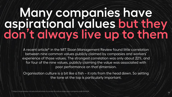# **Many companies have**<br>aspirational values but they<br>don't always live up to them

A recent article\* in the MIT Sloan Management Review found little correlation between nine common values publicly claimed by companies and workers' experience of those values. The strongest correlation was only about 22%, and for four of the nine values, publicly claiming the value was associated with poor performance on that dimension.

Organisation culture is a bit like a fish – it rots from the head down. So setting the tone at the top is particularly important.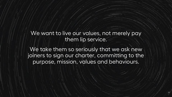#### We want to live our values, not merely pay them lip service.

We take them so seriously that we ask new joiners to sign our charter, committing to the purpose, mission, values and behaviours.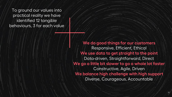To ground our values into practical reality we have identified 12 tangible behaviours, 3 for each value

> **We do good things for our customers** Responsive, Efficient, Ethical **We use data to get straight to the point** Data-driven, Straightforward, Direct **We go a little bit slower to go a whole lot faster** Constructive, Agile, Driven **We balance high challenge with high support** Diverse, Courageous, Accountable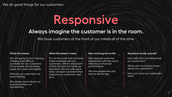### **Responsive**

#### **Always imagine the customer is in the room.**

We have customers at the front of our minds all of the time.

#### **What this means**

We are going to turn a boring, irritating and difficult purchase for our customers into a simple one by being quick, fair, open and digital.

Without our customers we have nothing.

We obsess more about our customers than our competitors.

#### **What this doesn't mean**

It's not the case that we never make mistakes with our customers. What's important is that we hold our hands up and learn. We act with pace when we spot a problem that impacts our customers, and fix it.

#### **How we bring this to life**

We measure customer satisfaction with the same intensity as financial performance.

We hire people who put service above ego.

#### **Questions to ask yourself**

How will what I am doing help our customers?

What can I do to learn more about our customers?

How can I save our customers time?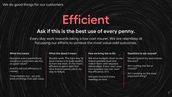### **Efficient**

#### **Ask if this is the best use of every penny.**

Every day work towards being a low cost insurer. We are relentless at focussing our efforts to achieve the most value-add outcomes.

#### **What this means**

Question every expenditure: would our customers see this as good value?

And it's not just efficiency in money.

Time matters too - we only work on things that add value.

#### **What this doesn't mean**

Shoddy work. The best way to save money is to build quality in from the start. It's far more efficient to get it right first time than to penny pinch our way to failure.

#### **How we bring this to life**

We drive budgets down to the lowest possible level and match them with required deliverables. If you 'own' your mini business you can 'own' the efficiency of it.

We start and end every meeting on time.

#### **Questions to ask yourself**

Would I spend my own money this way?

Am I cutting into fat or muscle?

Am I working on the most important thing?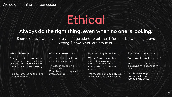### **Ethical**

#### **Always do the right thing, even when no one is looking.**

Shame on us if we have to rely on regulations to tell the difference between right and wrong. Do work you are proud of.

#### **What this means**

Caring about our customers means more than a 'tick box' exercise. We need to satisfy them by proactively meeting their needs.

Help customers find the right solution for them.

#### **What this doesn't mean**

We don't just comply, we delight and surprise.

This doesn't mean we outsource ethics to our Compliance colleagues. It's everyone's job.

#### **How we bring this to life**

We don't use pressurised selling tactics or rely on inertia. We 'know' our customers and offer them choices.

We measure and publish our customer satisfaction scores.

#### **Questions to ask yourself**

Do I know the law in my area?

Would I feel comfortable explaining my actions to my Mum?

Am I brave enough to raise my hand if I suspect something is amiss?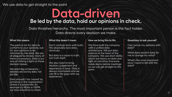#### We use data to get straight to the point

### **Be led by the data, hold our opinions in check. Data-driven**

Data thrashes hierarchy. The most important person is the fact holder. Data directs every decision we make.

#### **What this means**

The point is not for data to conform to your opinions, but for your opinions to be informed by the data. We are all plagued by biases, many of them unconscious. Data is our way of shining a light on those decision biases.

We aren't big on hierarchy debates are won by data, not job title.

Data shouldn't be 'owned' by someone in the organisation. Unless it is protected, for example by NDAs or GDPR, our bias should be to share.

#### **What this doesn't mean**

Don't confuse facts with truth. We absolutely love data, obviously.

But data is a route to truth, not truth itself.

We also need to bring intuition, judgement and experience to bear. Data is always incomplete and we can fill in the gaps with our experience.

#### **How we bring this to life**

We have built the company with a unified data architecture. We put data science at the heart of the company. We use short decks which are heavy on data and light on narrative. Everyone reads decks before meetings so we can get straight to the point.

#### **Questions to ask yourself**

Can I prove my opinions with data?

What data would it take for me to change my mind?

What's the most important story I need to tell with the data?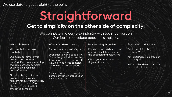#### We use data to get straight to the point

### **Get to simplicity on the other side of complexity. Straightforward**

We compete in a complex industry with too much jargon. Our job is to produce beautiful simplicity.

#### **What this means**

Kill complexity and seek simplicity

Our desire for simplicity is greater than our desire for comfort. If you see something that is excessively complex, challenge it. Even if it's uncomfortable.

Simplicity isn't just for our products and services. It's relevant for everything we do. Use 'radical candour' to challenge anything that smells too complex.

#### **What this doesn't mean**

Remember complexity is the residual between sophistication and capability. You or I might find it complex to write a bestselling novel. JK Rowling finds it less complex, because she is more skilful at it.

So sometimes the answer to complexity is to increase your own capabilities

#### **How we bring this to life**

Flat structures, wide spans of control, absolute clarity on the direction and objectives

Count your priorities on the fingers of one hand

#### **Questions to ask yourself**

Could I explain this to a customer?

Am I sharing my expertise or hoarding it?

What do I understand today that I didn't last year?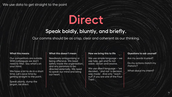We use data to get straight to the point

### **Direct**

#### **Speak boldly, bluntly, and briefly.**

Our comms should be as crisp, clear and coherent as our thinking.

#### **What this means**

Our competitors are outside. With colleagues we don't need to filter. Say what's on your mind.

We have a lot to do in a short time. Let's save time by getting straight to the point.

Speak plainly, dump the jargon, be direct.

#### **What this doesn't mean**

Needlessly antagonising or being offensive. We need safety inside the organisation, and any paranoia to be directed externally. We need to speak our mind and bring our heart.

#### **How we bring this to life**

We use simple language – we use help, get and fix not assist, obtain and resolve.

We use direct language – 'we decided...' and not 'a decision was made'. And only "reach out" if you are one of the Four Tops.

#### **Questions to ask yourself**

Are my words trusted?

Do my actions match my rhetoric?

What about my intent?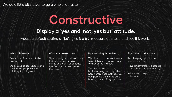We go a little bit slower to go a whole lot faster

### **Constructive**

#### **Display a 'yes and' not 'yes but' attitude.**

Adopt a default setting of 'let's give it a try, measure and test, and see if it works'

#### **What this means**

Every one of us needs to be an innovator.

Study your space, understand the landscape, push your thinking, try things out.

#### **What this doesn't mean**

Flip-flopping around from one fad to another, or doing things one way just because they've always been done that way.

#### **How we bring this to life**

We plan in quarters not years to match our metabolic pace to that of the market.

We use scrums, squads, brainstorming and any other non-hierarchical methods we can possibly think of to stop bureaucracy stifling initiative.

#### **Questions to ask yourself**

Am I keeping up with the leaders in my field?

Have I inadvertently acted as a dead hand of bureaucracy?

Where can I help out a colleague?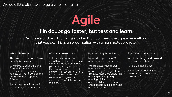We go a little bit slower to go a whole lot faster

### **Agile**

#### **If in doubt go faster, but test and learn.**

Recognise and react to things quicker than our peers. Be agile in everything that you do. This is an organisation with a high metabolic rate.

#### **What this means**

The quick win the race. So we need to be quicker.

Sometimes speed will bring failures. Failure is the condiment that gives success its flavour. That's OK but let's not make them repeated failures.

And experiment. Don't wait for perfection before acting.

#### **What this doesn't mean**

It doesn't mean we leave everything to the last moment and are chaotic. Sometimes you do have to go slow to then go fast - you can't fatten a pig on market day. We have to be action-oriented and know when to go from planning the work to working the plan.

#### **How we bring this to life**

Move when you are 60% ready and learn as you go.

We take away the speed bumps. Few people want to move slowly. They get slowed down by review meetings, pre meeting meetings, big meetings, joint accountabilities. Our mantra of big people in big jobs helps us set the pace.

#### **Questions to ask yourself**

What is slowing me down and what can I do about it?

Who is waiting on me?

What can I start now and then course correct once I know more?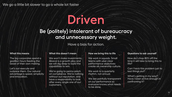#### We go a little bit slower to go a whole lot faster

### **Driven**

#### **Be (politely) intolerant of bureaucracy and unnecessary weight.**

Have a bias for action.

#### **What this means**

The big corporates spend a gazillion hours feeding the beast of their own making.

Let's out execute and outpace them. Our natural advantage is speed, simplicity and innovation.

#### **What this doesn't mean**

We won't make investments. Abacai is a growth play and we will dig deep to build the capabilities to win.

We're going to penny-pinch on compliance. We're nothing without our reputation, and have a responsibility to look after every single one of our customers.

#### **How we bring this to life**

We work in squads. Small teams with uber clear performance objectives create an ownership culture.

We work to a quarterly rhythm, not annual.

We are painfully transparent on our performance so everyone knows what needs to be done.

#### **Questions to ask yourself**

How do I chop 80% off the time it will take to bring this to life?

Can I hack this problem just to test things out?

What's getting in my way? Have I been active enough in confronting it?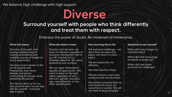### **Diverse**

#### **Surround yourself with people who think differently and treat them with respect.**

Embrace the power of doubt. Be intolerant of intolerance.

#### **What this means**

Diversity of thought, and having multiple ways of looking at problems and multiple sources of insight on every opportunity.

We have to be masters in the art of arguing well. Passionate, even fierce debate, but always confronting the issues, never attacking the person.

We need to stick up for our own point of view; no-one else will. Be yourself – everyone else is taken.

#### **What this doesn't mean**

Quotas. Let's be clear: we have no interest in equality of outcome. Having 50% men in our HR function isn't a strategic objective. We value substance over symbols.

We are super interested in equality of opportunity . We want to draw on the best talent regardless of race, ethnicity, gender, sexuality, age, neurodiversity, or any other identification.

#### **How we bring this to life**

We welcome challenge – we don't have an open door policy, we have a no door policy.

We are respectful, not delicate.

We listen hard for intent.

We are inclusive, and make sure everyone can be heard.

We remind ourselves that we can't perfectly mirror our customers or society. We will use data to plug any gaps.

#### **Questions to ask yourself**

When did I last change my mind and why?

When did I last encourage someone to speak up?

When did I last thank someone for challenge?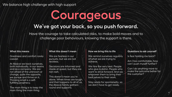### **We've got your back, so you push forward. Courageous**

Have the courage to take calculated risks, to make bold moves and to challenge poor behaviours, knowing the support is there.

#### **What this means**

Greatness and comfort rarely coexist.

At Abacai we back ourselves, both individually, in our teams and as a company. We are not afraid of the unknown or change, quite the opposite, we pursue and thrive on it. Thinking small is a selffulfilling prophecy.

The main thing is to keep the main thing the main thing.

#### **What this doesn't mean**

We are fearless in our pursuits, but we are not reckless.

Decisions are informed and made at speed, but they are not rash.

This doesn't mean you're alone. When times are tough, and that happens to all of us, the Abacai family gathers round and supports.

#### **How we bring this to life**

We remind ourselves regularly of what we are trying to achieve.

We hire the very best. People who give a damn. People who want to drive forward. And we empower them to bring their best selves to their work.

Stay ready for spontaneity, so we don't have to get ready.

#### **Questions to ask yourself**

Is fear holding me back?

Am I too comfortable, how can I push myself further?

Can I do anything more to make the outcome better for the customer?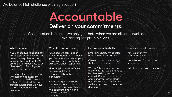### **Deliver on your commitments. Accountable**

Collaboration is crucial, we only get there when we are all accountable. We are big people in big jobs.

#### **What this means**

If you chase two rabbits, both will escape. It's critical that we are each very clear on our individual commitments. We are too small a business to be able to afford for things to slip through the cracks.

Name an elite sports person who hasn't had excellent coaching and I will name you a fibber. For us to deliver on our accountabilities we have to have a feedback rich environment.

#### **What this doesn't mean**

At Abacai we talk to each other not about each other. If you feel someone has let you down you raise it with them. Directly, bluntly, respectfully.

Hoarding knowledge. Don't confuse individual accountability with silo behaviour.

Blame. It's generally bad process rather than bad people that cause mistakes. We celebrate finding and improving these bad processes.

#### **How we bring this to life**

Small units help. What helps more is ultra clear targets.

Own up to bad news early, so that we can all work to fix it.

We don't have to agree on everything. But we do have to be able to disagree and commit. Disagree in the sense of making your views clear but nevertheless fully commit to the way ahead if that's the decision.

#### **Questions to ask yourself**

Am I clear on my commitments?

Have I asked for help if I am struggling?

What bad news am I hiding?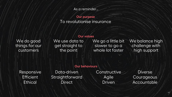As a reminder…

#### To revolutionise insurance **Our purpose**

#### **Our values**

We do good things for our customers

We use data to get straight to the point

We go a little bit slower to go a whole lot faster

We balance high challenge with high support

#### **Our behaviours**

Responsive **Efficient Ethical** 

Data-driven Straightforward **Direct** 

**Constructive** Agile Driven

Diverse **Courageous** Accountable